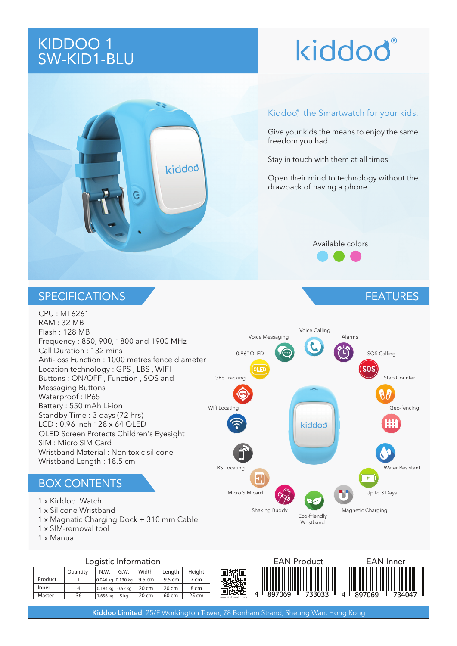# KIDDOO 1 SW-KID1-BLU

# kiddod®



### Kiddoo<sup>®</sup>, the Smartwatch for your kids.

Give your kids the means to enjoy the same freedom you had.

Stay in touch with them at all times.

Open their mind to technology without the drawback of having a phone.

### Available colors

FEATURES

### **SPECIFICATIONS**

CPU : MT6261 RAM : 32 MB Voice Calling Flash : 128 MB Voice Messaging **Alarms** Frequency : 850, 900, 1800 and 1900 MHz Call Duration : 132 mins 0.96" OLED **CO** Anti-loss Function : 1000 metres fence diameter Location technology : GPS , LBS , WIFI OLED SOSSEN SOSSEN SOSSEN SOSSEN SOSSEN SOSSEN SOSSEN SOSSEN SOSSEN SOSSEN SOSSEN SOSSEN SOSSEN SOSSEN SOSSEN Buttons : ON/OFF , Function , SOS and GPS Tracking Step Counter Messaging Buttons กิ Waterproof : IP65 GPS Battery : 550 mAh Li-ion Wifi Locating Geo-fencing Geo-fencing Geo-fencing Contract of the Geo-fencing Contract of Geo-fencing Contract of Geo-fencing Contract of Geo-fencing Contract of Geo-fencing Contract of Geo-fencing Contract of Geo-fencing Standby Time : 3 days (72 hrs) LCD : 0.96 inch 128 x 64 OLED kiddod OLED Screen Protects Children's Eyesight SIM : Micro SIM Card Wristband Material : Non toxic silicone LBS Wristband Length : 18.5 cm LBS Locating Water Resistant 隈 BOX CONTENTS Micro SIM card  $\alpha$   $\beta$ 1 x Kiddoo Watch 1 x Silicone Wristband Shaking Buddy Magnetic Charging Eco-friendly 1 x Magnatic Charging Dock + 310 mm Cable **Wristband** 1 x SIM-removal tool 1 x Manual Logistic Information EAN Product EAN Inner Quantity N.W. G.W. Width Length Height

#### 回波道 Product 1 0.046 kg 0.130 kg 9.5 cm 9.5 cm 7 cm Inner 4 0.184 kg  $0.52 \text{ kg}$  20 cm  $20 cm$  8 cm 4 897069 1 733033 1 4 1 897069 1 734047 Master 36  $1.656$  kg  $5$  kg 20 cm 60 cm 25 cm www.kiddoowatch.com

Kiddoo Limited, 25/F Workington Tower, 78 Bonham Strand, Sheung Wan, Hong Kong